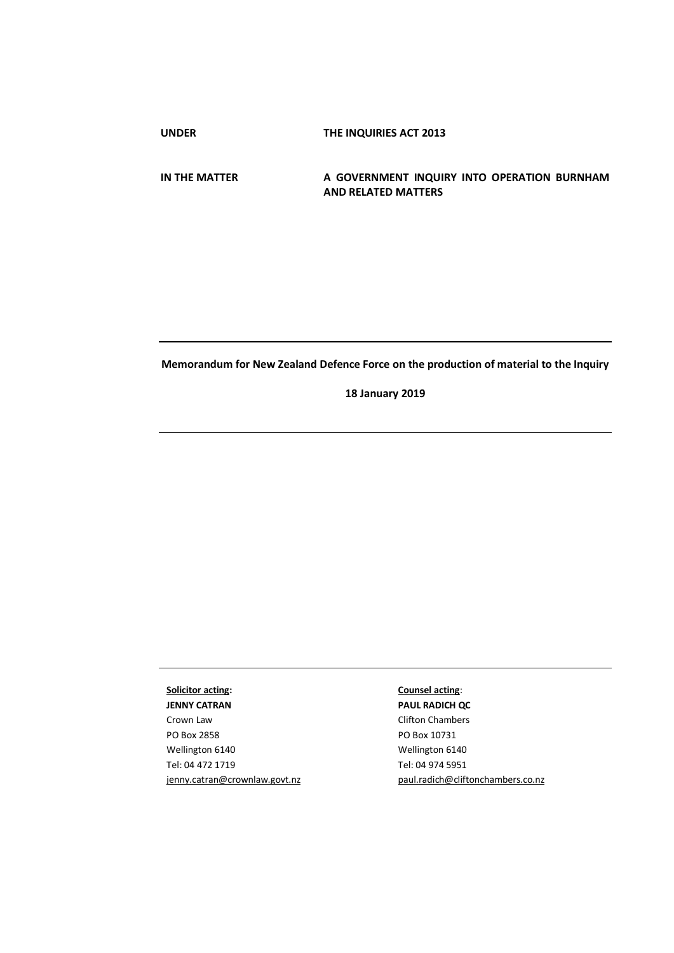**UNDER THE INQUIRIES ACT 2013**

**IN THE MATTER A GOVERNMENT INQUIRY INTO OPERATION BURNHAM AND RELATED MATTERS**

## **Memorandum for New Zealand Defence Force on the production of material to the Inquiry**

**18 January 2019**

**Solicitor acting: JENNY CATRAN** Crown Law PO Box 2858 Wellington 6140 Tel: 04 472 1719 jenny.catran@crownlaw.govt.nz

## **Counsel acting**:

**PAUL RADICH QC** Clifton Chambers PO Box 10731 Wellington 6140 Tel: 04 974 5951 [paul.radich@cliftonchambers.co.nz](mailto:paul.radich@cliftonchambers.co.nz)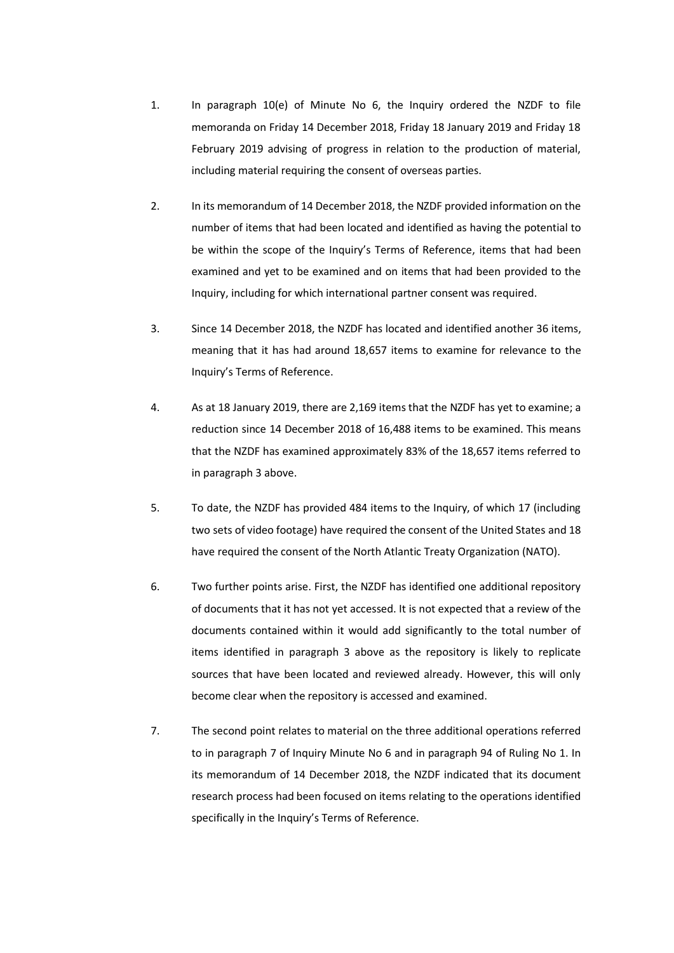- 1. In paragraph 10(e) of Minute No 6, the Inquiry ordered the NZDF to file memoranda on Friday 14 December 2018, Friday 18 January 2019 and Friday 18 February 2019 advising of progress in relation to the production of material, including material requiring the consent of overseas parties.
- 2. In its memorandum of 14 December 2018, the NZDF provided information on the number of items that had been located and identified as having the potential to be within the scope of the Inquiry's Terms of Reference, items that had been examined and yet to be examined and on items that had been provided to the Inquiry, including for which international partner consent was required.
- 3. Since 14 December 2018, the NZDF has located and identified another 36 items, meaning that it has had around 18,657 items to examine for relevance to the Inquiry's Terms of Reference.
- 4. As at 18 January 2019, there are 2,169 items that the NZDF has yet to examine; a reduction since 14 December 2018 of 16,488 items to be examined. This means that the NZDF has examined approximately 83% of the 18,657 items referred to in paragraph 3 above.
- 5. To date, the NZDF has provided 484 items to the Inquiry, of which 17 (including two sets of video footage) have required the consent of the United States and 18 have required the consent of the North Atlantic Treaty Organization (NATO).
- 6. Two further points arise. First, the NZDF has identified one additional repository of documents that it has not yet accessed. It is not expected that a review of the documents contained within it would add significantly to the total number of items identified in paragraph 3 above as the repository is likely to replicate sources that have been located and reviewed already. However, this will only become clear when the repository is accessed and examined.
- 7. The second point relates to material on the three additional operations referred to in paragraph 7 of Inquiry Minute No 6 and in paragraph 94 of Ruling No 1. In its memorandum of 14 December 2018, the NZDF indicated that its document research process had been focused on items relating to the operations identified specifically in the Inquiry's Terms of Reference.